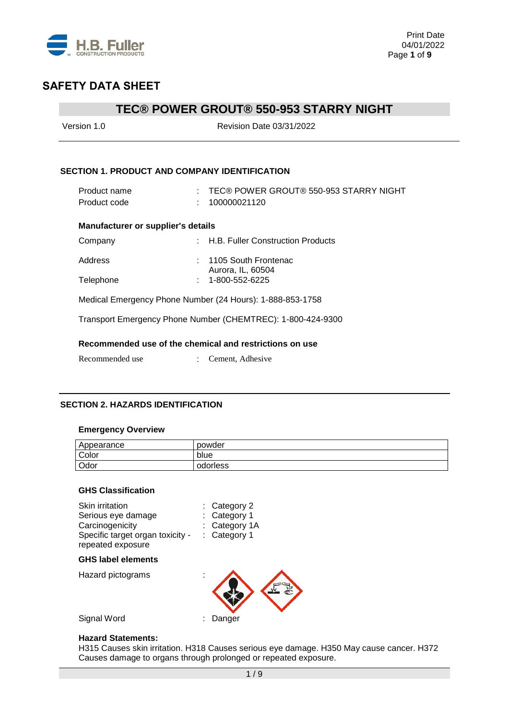

### **TEC® POWER GROUT® 550-953 STARRY NIGHT**

| Version 1.0                                             | <b>Revision Date 03/31/2022</b>                             |
|---------------------------------------------------------|-------------------------------------------------------------|
|                                                         |                                                             |
| <b>SECTION 1. PRODUCT AND COMPANY IDENTIFICATION</b>    |                                                             |
| Product name                                            | : TEC® POWER GROUT® 550-953 STARRY NIGHT                    |
| Product code                                            | 100000021120                                                |
| <b>Manufacturer or supplier's details</b>               |                                                             |
| Company                                                 | : H.B. Fuller Construction Products                         |
| Address                                                 | : 1105 South Frontenac                                      |
| Telephone                                               | Aurora, IL, 60504<br>$: 1 - 800 - 552 - 6225$               |
|                                                         | Medical Emergency Phone Number (24 Hours): 1-888-853-1758   |
|                                                         | Transport Emergency Phone Number (CHEMTREC): 1-800-424-9300 |
| Recommended use of the chemical and restrictions on use |                                                             |
| Recommended use                                         | Cement, Adhesive                                            |
|                                                         |                                                             |

### **SECTION 2. HAZARDS IDENTIFICATION**

#### **Emergency Overview**

| Appearance | powder   |
|------------|----------|
| Color      | blue     |
| Odor       | odorless |

### **GHS Classification**

| $:$ Category 2<br>: Category 1<br>: Category 1A<br>: Category 1<br>Specific target organ toxicity - |
|-----------------------------------------------------------------------------------------------------|
|                                                                                                     |
|                                                                                                     |
| Danger                                                                                              |
|                                                                                                     |

#### **Hazard Statements:**

H315 Causes skin irritation. H318 Causes serious eye damage. H350 May cause cancer. H372 Causes damage to organs through prolonged or repeated exposure.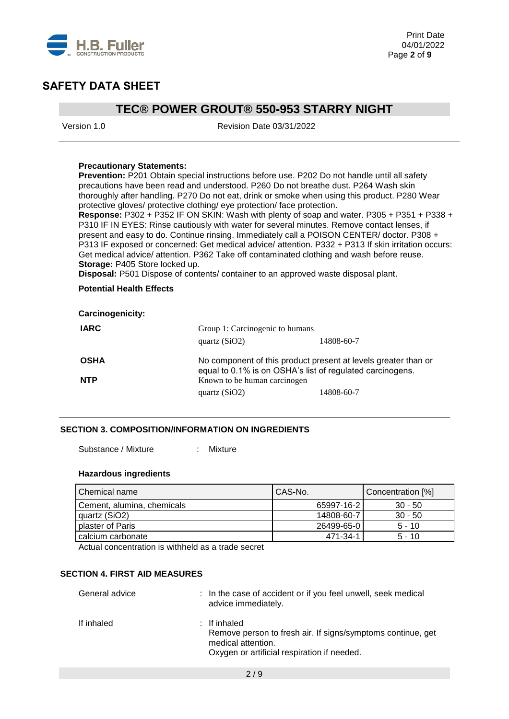

### **TEC® POWER GROUT® 550-953 STARRY NIGHT**

Version 1.0 Revision Date 03/31/2022

#### **Precautionary Statements:**

**Prevention:** P201 Obtain special instructions before use. P202 Do not handle until all safety precautions have been read and understood. P260 Do not breathe dust. P264 Wash skin thoroughly after handling. P270 Do not eat, drink or smoke when using this product. P280 Wear protective gloves/ protective clothing/ eye protection/ face protection.

**Response:** P302 + P352 IF ON SKIN: Wash with plenty of soap and water. P305 + P351 + P338 + P310 IF IN EYES: Rinse cautiously with water for several minutes. Remove contact lenses, if present and easy to do. Continue rinsing. Immediately call a POISON CENTER/ doctor. P308 + P313 IF exposed or concerned: Get medical advice/ attention. P332 + P313 If skin irritation occurs: Get medical advice/ attention. P362 Take off contaminated clothing and wash before reuse. **Storage:** P405 Store locked up.

**Disposal:** P501 Dispose of contents/ container to an approved waste disposal plant.

#### **Potential Health Effects**

| <b>Carcinogenicity:</b> |                                                                                                                             |            |
|-------------------------|-----------------------------------------------------------------------------------------------------------------------------|------------|
| <b>IARC</b>             | Group 1: Carcinogenic to humans                                                                                             |            |
|                         | quartz $(SiO2)$                                                                                                             | 14808-60-7 |
| <b>OSHA</b>             | No component of this product present at levels greater than or<br>equal to 0.1% is on OSHA's list of regulated carcinogens. |            |
| <b>NTP</b>              | Known to be human carcinogen                                                                                                |            |
|                         | quartz $(SiO2)$                                                                                                             | 14808-60-7 |

#### **SECTION 3. COMPOSITION/INFORMATION ON INGREDIENTS**

Substance / Mixture : Mixture

#### **Hazardous ingredients**

| Chemical name                                      | CAS-No.    | Concentration [%] |
|----------------------------------------------------|------------|-------------------|
| Cement, alumina, chemicals                         | 65997-16-2 | $30 - 50$         |
| quartz (SiO2)                                      | 14808-60-7 | $30 - 50$         |
| plaster of Paris                                   | 26499-65-0 | $5 - 10$          |
| calcium carbonate                                  | 471-34-1   | $5 - 10$          |
| Actual concentration is withheld as a trade secret |            |                   |

#### **SECTION 4. FIRST AID MEASURES**

| General advice | : In the case of accident or if you feel unwell, seek medical<br>advice immediately.                                                             |
|----------------|--------------------------------------------------------------------------------------------------------------------------------------------------|
| If inhaled     | : If inhaled<br>Remove person to fresh air. If signs/symptoms continue, get<br>medical attention.<br>Oxygen or artificial respiration if needed. |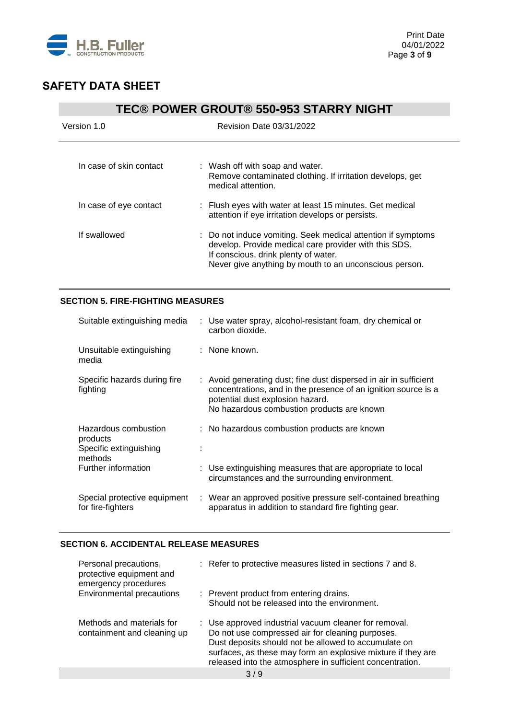

# **TEC® POWER GROUT® 550-953 STARRY NIGHT** Version 1.0 Revision Date 03/31/2022 In case of skin contact : Wash off with soap and water. Remove contaminated clothing. If irritation develops, get medical attention. In case of eye contact : Flush eyes with water at least 15 minutes. Get medical attention if eye irritation develops or persists. If swallowed : Do not induce vomiting. Seek medical attention if symptoms develop. Provide medical care provider with this SDS. If conscious, drink plenty of water.

Never give anything by mouth to an unconscious person.

### **SECTION 5. FIRE-FIGHTING MEASURES**

| Suitable extinguishing media                                          | : Use water spray, alcohol-resistant foam, dry chemical or<br>carbon dioxide.                                                                                                                                         |
|-----------------------------------------------------------------------|-----------------------------------------------------------------------------------------------------------------------------------------------------------------------------------------------------------------------|
| Unsuitable extinguishing<br>media                                     | : None known.                                                                                                                                                                                                         |
| Specific hazards during fire<br>fighting                              | : Avoid generating dust; fine dust dispersed in air in sufficient<br>concentrations, and in the presence of an ignition source is a<br>potential dust explosion hazard.<br>No hazardous combustion products are known |
| Hazardous combustion<br>products<br>Specific extinguishing<br>methods | : No hazardous combustion products are known                                                                                                                                                                          |
| Further information                                                   | : Use extinguishing measures that are appropriate to local<br>circumstances and the surrounding environment.                                                                                                          |
| Special protective equipment<br>for fire-fighters                     | : Wear an approved positive pressure self-contained breathing<br>apparatus in addition to standard fire fighting gear.                                                                                                |

### **SECTION 6. ACCIDENTAL RELEASE MEASURES**

| Personal precautions,<br>protective equipment and<br>emergency procedures | : Refer to protective measures listed in sections 7 and 8.                                                                                                                                                                                                                                     |
|---------------------------------------------------------------------------|------------------------------------------------------------------------------------------------------------------------------------------------------------------------------------------------------------------------------------------------------------------------------------------------|
| Environmental precautions                                                 | : Prevent product from entering drains.                                                                                                                                                                                                                                                        |
|                                                                           | Should not be released into the environment.                                                                                                                                                                                                                                                   |
| Methods and materials for<br>containment and cleaning up                  | : Use approved industrial vacuum cleaner for removal.<br>Do not use compressed air for cleaning purposes.<br>Dust deposits should not be allowed to accumulate on<br>surfaces, as these may form an explosive mixture if they are<br>released into the atmosphere in sufficient concentration. |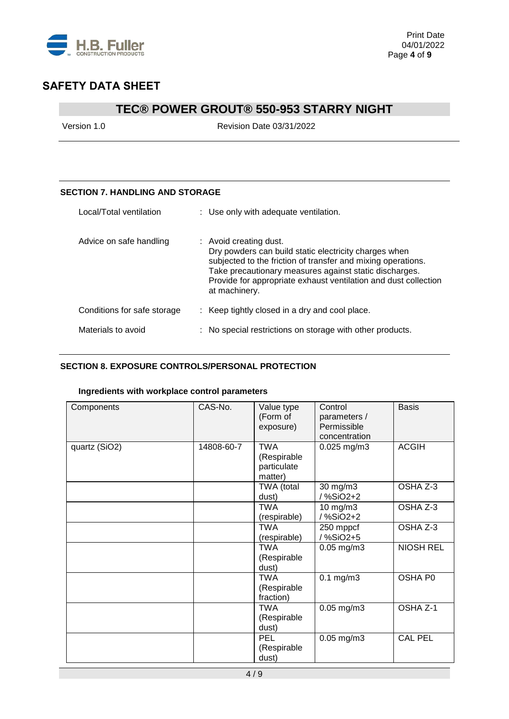

## **TEC® POWER GROUT® 550-953 STARRY NIGHT**

Version 1.0 Revision Date 03/31/2022

### **SECTION 7. HANDLING AND STORAGE**

| Local/Total ventilation     | : Use only with adequate ventilation.                                                                                                                                                                                                                                                         |
|-----------------------------|-----------------------------------------------------------------------------------------------------------------------------------------------------------------------------------------------------------------------------------------------------------------------------------------------|
| Advice on safe handling     | : Avoid creating dust.<br>Dry powders can build static electricity charges when<br>subjected to the friction of transfer and mixing operations.<br>Take precautionary measures against static discharges.<br>Provide for appropriate exhaust ventilation and dust collection<br>at machinery. |
| Conditions for safe storage | : Keep tightly closed in a dry and cool place.                                                                                                                                                                                                                                                |
| Materials to avoid          | : No special restrictions on storage with other products.                                                                                                                                                                                                                                     |

### **SECTION 8. EXPOSURE CONTROLS/PERSONAL PROTECTION**

### **Ingredients with workplace control parameters**

| Components    | CAS-No.    | Value type<br>(Form of<br>exposure)                 | Control<br>parameters /<br>Permissible<br>concentration | <b>Basis</b>     |
|---------------|------------|-----------------------------------------------------|---------------------------------------------------------|------------------|
| quartz (SiO2) | 14808-60-7 | <b>TWA</b><br>(Respirable<br>particulate<br>matter) | $0.025$ mg/m3                                           | <b>ACGIH</b>     |
|               |            | TWA (total<br>dust)                                 | 30 mg/m3<br>/ %SiO2+2                                   | OSHA Z-3         |
|               |            | <b>TWA</b><br>(respirable)                          | 10 mg/m3<br>/ %SiO2+2                                   | OSHA Z-3         |
|               |            | <b>TWA</b><br>(respirable)                          | 250 mppcf<br>/%SiO2+5                                   | OSHA Z-3         |
|               |            | <b>TWA</b><br>(Respirable<br>dust)                  | $0.05$ mg/m $3$                                         | <b>NIOSH REL</b> |
|               |            | <b>TWA</b><br>(Respirable<br>fraction)              | $0.1$ mg/m $3$                                          | OSHA P0          |
|               |            | <b>TWA</b><br>(Respirable<br>dust)                  | $0.05$ mg/m $3$                                         | OSHA Z-1         |
|               |            | PEL<br>(Respirable<br>dust)                         | $0.05$ mg/m $3$                                         | <b>CAL PEL</b>   |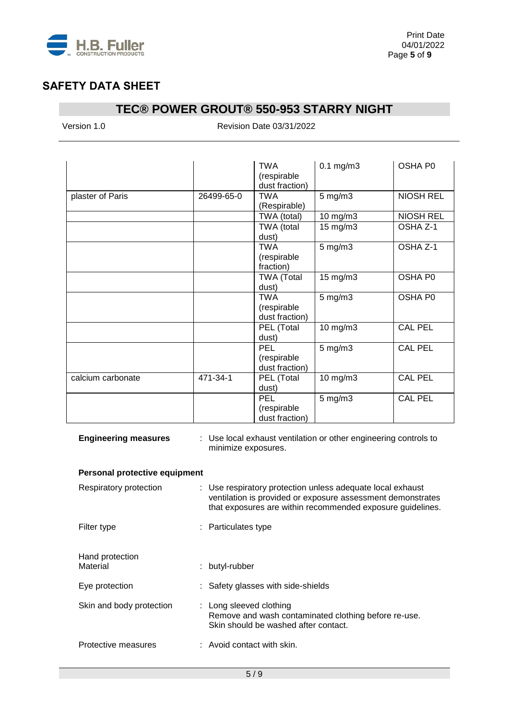

## **TEC® POWER GROUT® 550-953 STARRY NIGHT**

Version 1.0 Revision Date 03/31/2022

|                   |            | TWA<br>(respirable<br>dust fraction)        | $0.1$ mg/m $3$ | OSHA P0          |
|-------------------|------------|---------------------------------------------|----------------|------------------|
| plaster of Paris  | 26499-65-0 | <b>TWA</b><br>(Respirable)                  | $5$ mg/m $3$   | <b>NIOSH REL</b> |
|                   |            | TWA (total)                                 | 10 mg/m3       | <b>NIOSH REL</b> |
|                   |            | TWA (total<br>dust)                         | 15 mg/m3       | OSHA Z-1         |
|                   |            | <b>TWA</b><br>(respirable<br>fraction)      | $5$ mg/m $3$   | OSHA Z-1         |
|                   |            | <b>TWA (Total</b><br>dust)                  | 15 mg/m3       | OSHA P0          |
|                   |            | <b>TWA</b><br>(respirable<br>dust fraction) | $5$ mg/m $3$   | OSHA P0          |
|                   |            | PEL (Total<br>dust)                         | 10 mg/m3       | <b>CAL PEL</b>   |
|                   |            | <b>PEL</b><br>(respirable<br>dust fraction) | $5$ mg/m $3$   | <b>CAL PEL</b>   |
| calcium carbonate | 471-34-1   | PEL (Total<br>dust)                         | 10 mg/m3       | <b>CAL PEL</b>   |
|                   |            | PEL<br>(respirable<br>dust fraction)        | $5$ mg/m $3$   | <b>CAL PEL</b>   |

| <b>Engineering measures</b>   | : Use local exhaust ventilation or other engineering controls to<br>minimize exposures.                                                                                                 |
|-------------------------------|-----------------------------------------------------------------------------------------------------------------------------------------------------------------------------------------|
| Personal protective equipment |                                                                                                                                                                                         |
| Respiratory protection        | : Use respiratory protection unless adequate local exhaust<br>ventilation is provided or exposure assessment demonstrates<br>that exposures are within recommended exposure guidelines. |
| Filter type                   | : Particulates type                                                                                                                                                                     |
| Hand protection<br>Material   | : butyl-rubber                                                                                                                                                                          |
| Eye protection                | : Safety glasses with side-shields                                                                                                                                                      |
| Skin and body protection      | : Long sleeved clothing<br>Remove and wash contaminated clothing before re-use.<br>Skin should be washed after contact.                                                                 |
| Protective measures           | : Avoid contact with skin.                                                                                                                                                              |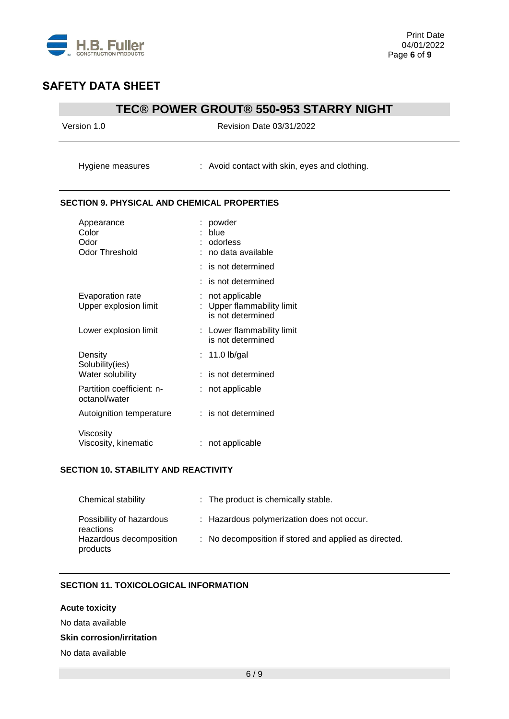

## **TEC® POWER GROUT® 550-953 STARRY NIGHT**

| Version 1.0                                        | Revision Date 03/31/2022                                        |  |  |
|----------------------------------------------------|-----------------------------------------------------------------|--|--|
| Hygiene measures                                   | : Avoid contact with skin, eyes and clothing.                   |  |  |
| <b>SECTION 9. PHYSICAL AND CHEMICAL PROPERTIES</b> |                                                                 |  |  |
| Appearance<br>Color<br>Odor<br>Odor Threshold      | powder<br>blue<br>: odorless<br>no data available               |  |  |
|                                                    | : is not determined<br>is not determined                        |  |  |
| Evaporation rate<br>Upper explosion limit          | not applicable<br>Upper flammability limit<br>is not determined |  |  |
| Lower explosion limit                              | : Lower flammability limit<br>is not determined                 |  |  |
| Density<br>Solubility(ies)<br>Water solubility     | $: 11.0$ lb/gal<br>: is not determined                          |  |  |
| Partition coefficient: n-<br>octanol/water         | : not applicable                                                |  |  |
| Autoignition temperature                           | : is not determined                                             |  |  |
| Viscosity<br>Viscosity, kinematic                  | not applicable                                                  |  |  |

#### **SECTION 10. STABILITY AND REACTIVITY**

| Chemical stability                    | : The product is chemically stable.                   |
|---------------------------------------|-------------------------------------------------------|
| Possibility of hazardous<br>reactions | : Hazardous polymerization does not occur.            |
| Hazardous decomposition<br>products   | : No decomposition if stored and applied as directed. |

### **SECTION 11. TOXICOLOGICAL INFORMATION**

#### **Acute toxicity**

No data available

#### **Skin corrosion/irritation**

No data available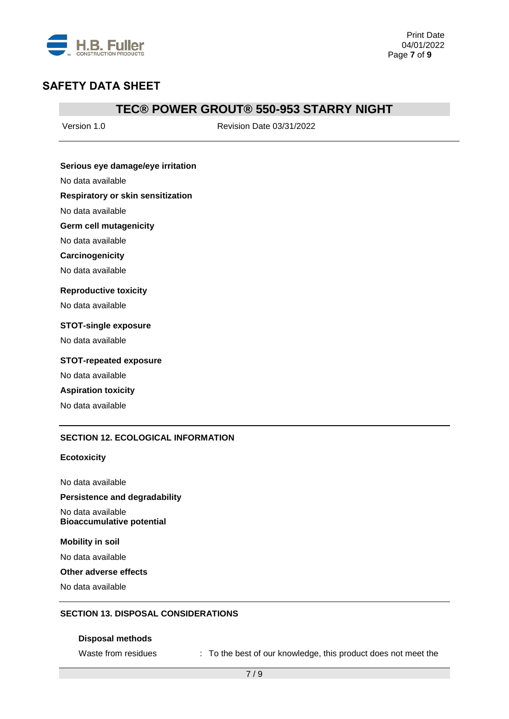

### **TEC® POWER GROUT® 550-953 STARRY NIGHT**

Version 1.0 Revision Date 03/31/2022

#### **Serious eye damage/eye irritation**

No data available

#### **Respiratory or skin sensitization**

No data available

#### **Germ cell mutagenicity**

No data available

#### **Carcinogenicity**

No data available

#### **Reproductive toxicity**

No data available

#### **STOT-single exposure**

No data available

### **STOT-repeated exposure**

No data available

#### **Aspiration toxicity**

No data available

#### **SECTION 12. ECOLOGICAL INFORMATION**

#### **Ecotoxicity**

No data available

#### **Persistence and degradability**

No data available **Bioaccumulative potential**

#### **Mobility in soil**

No data available

#### **Other adverse effects**

No data available

#### **SECTION 13. DISPOSAL CONSIDERATIONS**

#### **Disposal methods**

Waste from residues : To the best of our knowledge, this product does not meet the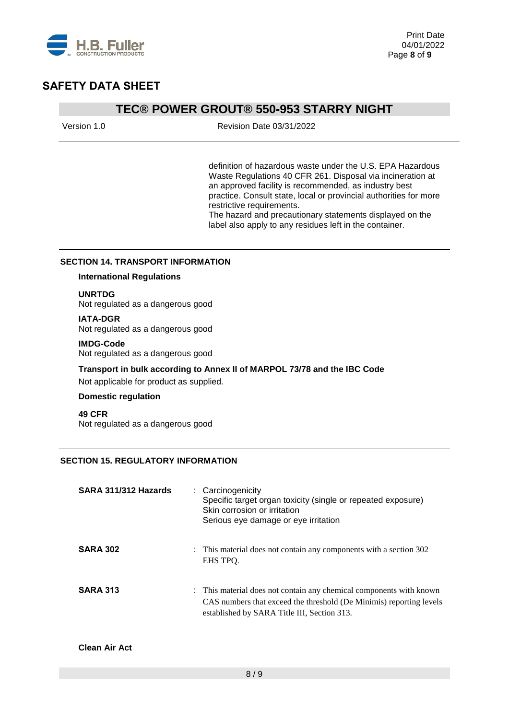

### **TEC® POWER GROUT® 550-953 STARRY NIGHT**

| Version 1.0 | Revision Date 03/31/2022 |
|-------------|--------------------------|
|             |                          |

definition of hazardous waste under the U.S. EPA Hazardous Waste Regulations 40 CFR 261. Disposal via incineration at an approved facility is recommended, as industry best practice. Consult state, local or provincial authorities for more restrictive requirements.

The hazard and precautionary statements displayed on the label also apply to any residues left in the container.

#### **SECTION 14. TRANSPORT INFORMATION**

### **International Regulations**

#### **UNRTDG**

Not regulated as a dangerous good

#### **IATA-DGR**

Not regulated as a dangerous good

#### **IMDG-Code**

Not regulated as a dangerous good

# **Transport in bulk according to Annex II of MARPOL 73/78 and the IBC Code**

Not applicable for product as supplied.

### **Domestic regulation**

**49 CFR** Not regulated as a dangerous good

### **SECTION 15. REGULATORY INFORMATION**

| SARA 311/312 Hazards | : Carcinogenicity<br>Specific target organ toxicity (single or repeated exposure)<br>Skin corrosion or irritation<br>Serious eye damage or eye irritation                                 |
|----------------------|-------------------------------------------------------------------------------------------------------------------------------------------------------------------------------------------|
| <b>SARA 302</b>      | : This material does not contain any components with a section 302<br>EHS TPO.                                                                                                            |
| <b>SARA 313</b>      | : This material does not contain any chemical components with known<br>CAS numbers that exceed the threshold (De Minimis) reporting levels<br>established by SARA Title III, Section 313. |

#### **Clean Air Act**